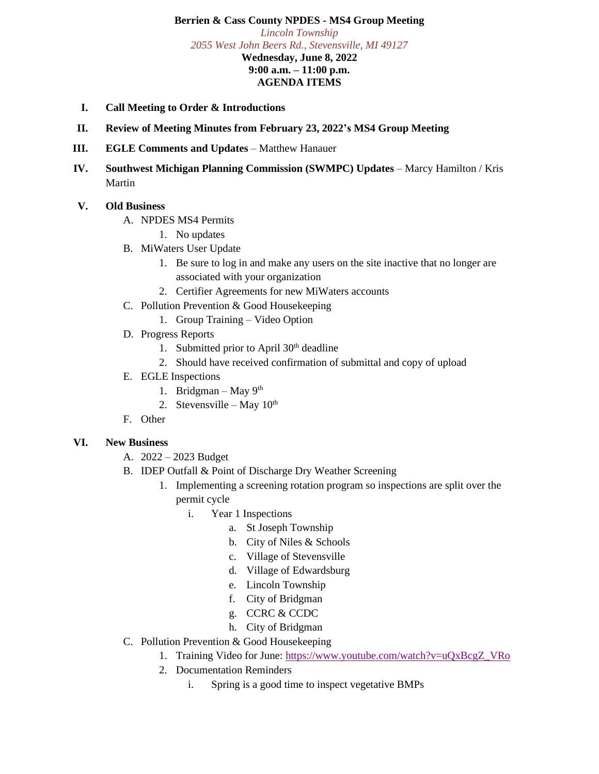## **Berrien & Cass County NPDES - MS4 Group Meeting**

*Lincoln Township 2055 West John Beers Rd., Stevensville, MI 49127* **Wednesday, June 8, 2022 9:00 a.m. – 11:00 p.m. AGENDA ITEMS**

- **I. Call Meeting to Order & Introductions**
- **II. Review of Meeting Minutes from February 23, 2022's MS4 Group Meeting**
- **III. EGLE Comments and Updates** Matthew Hanauer
- **IV. Southwest Michigan Planning Commission (SWMPC) Updates** Marcy Hamilton / Kris Martin

## **V. Old Business**

- A. NPDES MS4 Permits
	- 1. No updates
- B. MiWaters User Update
	- 1. Be sure to log in and make any users on the site inactive that no longer are associated with your organization
	- 2. Certifier Agreements for new MiWaters accounts
- C. Pollution Prevention & Good Housekeeping
	- 1. Group Training Video Option
- D. Progress Reports
	- 1. Submitted prior to April 30<sup>th</sup> deadline
	- 2. Should have received confirmation of submittal and copy of upload
- E. EGLE Inspections
	- 1. Bridgman May  $9<sup>th</sup>$
	- 2. Stevensville May  $10^{th}$
- F. Other

## **VI. New Business**

- A. 2022 2023 Budget
- B. IDEP Outfall & Point of Discharge Dry Weather Screening
	- 1. Implementing a screening rotation program so inspections are split over the permit cycle
		- i. Year 1 Inspections
			- a. St Joseph Township
			- b. City of Niles & Schools
			- c. Village of Stevensville
			- d. Village of Edwardsburg
			- e. Lincoln Township
			- f. City of Bridgman
			- g. CCRC & CCDC
			- h. City of Bridgman
- C. Pollution Prevention & Good Housekeeping
	- 1. Training Video for June: [https://www.youtube.com/watch?v=uQxBcgZ\\_VRo](https://www.youtube.com/watch?v=uQxBcgZ_VRo)
	- 2. Documentation Reminders
		- i. Spring is a good time to inspect vegetative BMPs